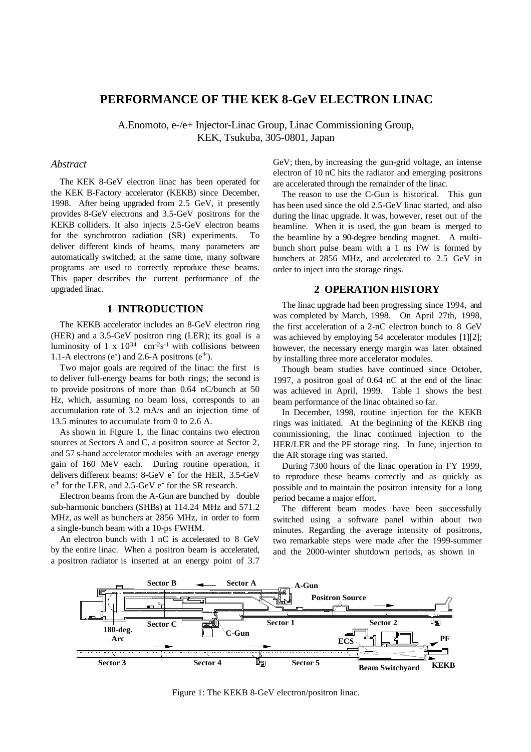# **PERFORMANCE OF THE KEK 8-GeV ELECTRON LINAC**

A.Enomoto, e-/e+ Injector-Linac Group, Linac Commissioning Group, KEK, Tsukuba, 305-0801, Japan

#### *Abstract*

The KEK 8-GeV electron linac has been operated for the KEK B-Factory accelerator (KEKB) since December, 1998. After being upgraded from 2.5 GeV, it presently provides 8-GeV electrons and 3.5-GeV positrons for the KEKB colliders. It also injects 2.5-GeV electron beams for the synchrotron radiation (SR) experiments. To deliver different kinds of beams, many parameters are automatically switched; at the same time, many software programs are used to correctly reproduce these beams. This paper describes the current performance of the upgraded linac.

## **1 INTRODUCTION**

The KEKB accelerator includes an 8-GeV electron ring (HER) and a 3.5-GeV positron ring (LER); its goal is a luminosity of 1 x  $10^{34}$  cm<sup>-2</sup>s<sup>-1</sup> with collisions between 1.1-A electrons (e<sup>-</sup>) and 2.6-A positrons (e<sup>+</sup>).

Two major goals are required of the linac: the first is to deliver full-energy beams for both rings; the second is to provide positrons of more than 0.64 nC/bunch at 50 Hz, which, assuming no beam loss, corresponds to an accumulation rate of 3.2 mA/s and an injection time of 13.5 minutes to accumulate from 0 to 2.6 A.

As shown in Figure 1, the linac contains two electron sources at Sectors A and C, a positron source at Sector 2, and 57 s-band accelerator modules with an average energy gain of 160 MeV each. During routine operation, it delivers different beams: 8-GeV e<sup>-</sup> for the HER, 3.5-GeV  $e^+$  for the LER, and 2.5-GeV  $e^-$  for the SR research.

Electron beams from the A-Gun are bunched by double sub-harmonic bunchers (SHBs) at 114.24 MHz and 571.2 MHz, as well as bunchers at 2856 MHz, in order to form a single-bunch beam with a 10-ps FWHM.

An electron bunch with 1 nC is accelerated to 8 GeV by the entire linac. When a positron beam is accelerated, a positron radiator is inserted at an energy point of 3.7

GeV; then, by increasing the gun-grid voltage, an intense electron of 10 nC hits the radiator and emerging positrons are accelerated through the remainder of the linac.

The reason to use the C-Gun is historical. This gun has been used since the old 2.5-GeV linac started, and also during the linac upgrade. It was, however, reset out of the beamline. When it is used, the gun beam is merged to the beamline by a 90-degree bending magnet. A multibunch short pulse beam with a 1 ns FW is formed by bunchers at 2856 MHz, and accelerated to 2.5 GeV in order to inject into the storage rings.

### **2 OPERATION HISTORY**

The linac upgrade had been progressing since 1994, and was completed by March, 1998. On April 27th, 1998, the first acceleration of a 2-nC electron bunch to 8 GeV was achieved by employing 54 accelerator modules [1][2]; however, the necessary energy margin was later obtained by installing three more accelerator modules.

Though beam studies have continued since October, 1997, a positron goal of 0.64 nC at the end of the linac was achieved in April, 1999. Table 1 shows the best beam performance of the linac obtained so far.

In December, 1998, routine injection for the KEKB rings was initiated. At the beginning of the KEKB ring commissioning, the linac continued injection to the HER/LER and the PF storage ring. In June, injection to the AR storage ring was started.

During 7300 hours of the linac operation in FY 1999, to reproduce these beams correctly and as quickly as possible and to maintain the positron intensity for a long period became a major effort.

The different beam modes have been successfully switched using a software panel within about two minutes. Regarding the average intensity of positrons, two remarkable steps were made after the 1999-summer and the 2000-winter shutdown periods, as shown in



Figure 1: The KEKB 8-GeV electron/positron linac.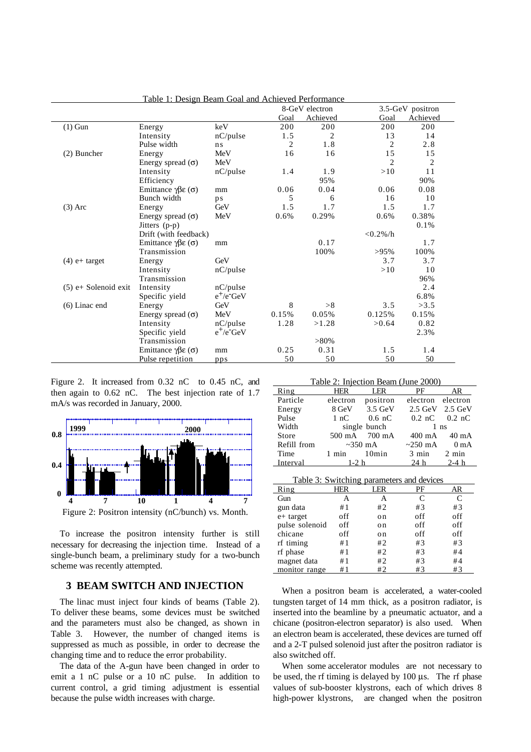|                        |                                                |                |                | 8-GeV electron |                | 3.5-GeV positron |  |
|------------------------|------------------------------------------------|----------------|----------------|----------------|----------------|------------------|--|
|                        |                                                |                | Goal           | Achieved       | Goal           | Achieved         |  |
| $(1)$ Gun              | Energy                                         | keV            | 200            | 200            | 200            | 200              |  |
|                        | Intensity                                      | nC/pulse       | 1.5            | 2              | 13             | 14               |  |
|                        | Pulse width                                    | n <sub>s</sub> | $\overline{c}$ | 1.8            | $\overline{2}$ | 2.8              |  |
| (2) Buncher            | Energy                                         | MeV            | 16             | 16             | 15             | 15               |  |
|                        | Energy spread $(\sigma)$                       | MeV            |                |                | $\overline{2}$ | $\overline{2}$   |  |
|                        | Intensity                                      | nC/pulse       | 1.4            | 1.9            | >10            | 11               |  |
|                        | Efficiency                                     |                |                | 95%            |                | 90%              |  |
|                        | Emittance $\gamma \beta \epsilon$ ( $\sigma$ ) | mm             | 0.06           | 0.04           | 0.06           | 0.08             |  |
|                        | Bunch width                                    | ps             | 5              | 6              | 16             | 10               |  |
| $(3)$ Arc              | Energy                                         | GeV            | 1.5            | 1.7            | 1.5            | 1.7              |  |
|                        | Energy spread $(\sigma)$                       | MeV            | 0.6%           | 0.29%          | 0.6%           | 0.38%            |  |
|                        | Jitters $(p-p)$                                |                |                |                |                | 0.1%             |  |
|                        | Drift (with feedback)                          |                |                |                | $< 0.2\% / h$  |                  |  |
|                        | Emittance $\gamma\beta\epsilon(\sigma)$        | mm             |                | 0.17           |                | 1.7              |  |
|                        | Transmission                                   |                |                | 100%           | >95%           | 100%             |  |
| $(4)$ e+ target        | Energy                                         | GeV            |                |                | 3.7            | 3.7              |  |
|                        | Intensity                                      | nC/pulse       |                |                | >10            | 10               |  |
|                        | Transmission                                   |                |                |                |                | 96%              |  |
| $(5)$ e+ Solenoid exit | Intensity                                      | $nC$ /pulse    |                |                |                | 2.4              |  |
|                        | Specific yield                                 | $e^+/e^-$ GeV  |                |                |                | 6.8%             |  |
| $(6)$ Linac end        | Energy                                         | GeV            | 8              | >8             | 3.5            | >3.5             |  |
|                        | Energy spread $(\sigma)$                       | MeV            | 0.15%          | 0.05%          | 0.125%         | 0.15%            |  |
|                        | Intensity                                      | $nC$ /pulse    | 1.28           | >1.28          | >0.64          | 0.82             |  |
|                        | Specific yield                                 | $e^+/e^-$ GeV  |                |                |                | 2.3%             |  |
|                        | Transmission                                   |                |                | $>80\%$        |                |                  |  |
|                        | Emittance $\gamma \beta \epsilon (\sigma)$     | mm             | 0.25           | 0.31           | 1.5            | 1.4              |  |
|                        | Pulse repetition                               | pps            | 50             | 50             | 50             | 50               |  |

Table 1: Design Beam Goal and Achieved Performance

Figure 2. It increased from 0.32 nC to 0.45 nC, and then again to 0.62 nC. The best injection rate of 1.7 mA/s was recorded in January, 2000.



To increase the positron intensity further is still necessary for decreasing the injection time. Instead of a single-bunch beam, a preliminary study for a two-bunch

## **3 BEAM SWITCH AND INJECTION**

scheme was recently attempted.

The linac must inject four kinds of beams (Table 2). To deliver these beams, some devices must be switched and the parameters must also be changed, as shown in Table 3. However, the number of changed items is suppressed as much as possible, in order to decrease the changing time and to reduce the error probability.

The data of the A-gun have been changed in order to emit a 1 nC pulse or a 10 nC pulse. In addition to current control, a grid timing adjustment is essential because the pulse width increases with charge.

Table 2: Injection Beam (June 2000)

| Ring        | HER           | LER           | PF                              | AR                                |  |
|-------------|---------------|---------------|---------------------------------|-----------------------------------|--|
| Particle    | electron      | positron      | electron electron               |                                   |  |
| Energy      |               | 8 GeV 3.5 GeV | $2.5$ GeV $2.5$ GeV             |                                   |  |
| Pulse       | 1 nC          | $0.6$ nC      |                                 | $0.2 \text{ nC}$ $0.2 \text{ nC}$ |  |
| Width       | single bunch  |               | $1$ ns                          |                                   |  |
| Store       |               | 500 mA 700 mA |                                 | 400 mA 40 mA                      |  |
| Refill from | $\sim$ 350 mA |               | $\sim$ 250 mA 0 mA              |                                   |  |
| Time        | 1 min 10 min  |               | $3 \text{ min}$ $2 \text{ min}$ |                                   |  |
| Interval    | $1-2 h$       |               | $24 h$ $2-4 h$                  |                                   |  |

|                |     | Table 3: Switching parameters and devices |     |     |
|----------------|-----|-------------------------------------------|-----|-----|
| Ring           | HER | LER                                       | PF  | AR  |
| Gun            | А   | А                                         | C   | C   |
| gun data       | #1  | #2                                        | #3  | #3  |
| e+ target      | off | on                                        | off | off |
| pulse solenoid | off | on                                        | off | off |
| chicane        | off | on                                        | off | off |
| rf timing      | #1  | #2                                        | #3  | #3  |
| rf phase       | #1  | #2                                        | #3  | #4  |
| magnet data    | #1  | #2                                        | #3  | #4  |
| monitor range  | #1  | #2                                        | #3  | #3  |

When a positron beam is accelerated, a water-cooled tungsten target of 14 mm thick, as a positron radiator, is inserted into the beamline by a pneumatic actuator, and a chicane (positron-electron separator) is also used. When an electron beam is accelerated, these devices are turned off and a 2-T pulsed solenoid just after the positron radiator is also switched off.

When some accelerator modules are not necessary to be used, the rf timing is delayed by 100 µs. The rf phase values of sub-booster klystrons, each of which drives 8 high-power klystrons, are changed when the positron